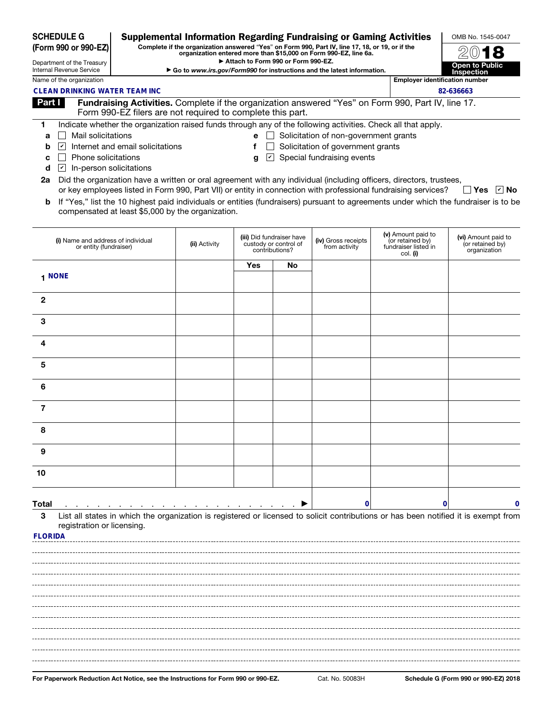| <b>SCHEDULE G</b><br>(Form 990 or 990-EZ)              |                                                                                                                           | <b>Supplemental Information Regarding Fundraising or Gaming Activities</b>                      | OMB No. 1545-0047                          |     |                                                                      |                                      |                                                                                                                |                                                                                                                                     |  |
|--------------------------------------------------------|---------------------------------------------------------------------------------------------------------------------------|-------------------------------------------------------------------------------------------------|--------------------------------------------|-----|----------------------------------------------------------------------|--------------------------------------|----------------------------------------------------------------------------------------------------------------|-------------------------------------------------------------------------------------------------------------------------------------|--|
|                                                        |                                                                                                                           | Complete if the organization answered "Yes" on Form 990, Part IV, line 17, 18, or 19, or if the |                                            |     |                                                                      |                                      |                                                                                                                |                                                                                                                                     |  |
| Department of the Treasury<br>Internal Revenue Service |                                                                                                                           | Go to www.irs.gov/Form990 for instructions and the latest information.                          | <b>Open to Public</b><br><b>Inspection</b> |     |                                                                      |                                      |                                                                                                                |                                                                                                                                     |  |
| Name of the organization                               |                                                                                                                           |                                                                                                 | <b>Employer identification number</b>      |     |                                                                      |                                      |                                                                                                                |                                                                                                                                     |  |
|                                                        | <b>CLEAN DRINKING WATER TEAM INC</b>                                                                                      |                                                                                                 |                                            |     |                                                                      |                                      |                                                                                                                | 82-636663                                                                                                                           |  |
| Part I                                                 |                                                                                                                           | Form 990-EZ filers are not required to complete this part.                                      |                                            |     |                                                                      |                                      | Fundraising Activities. Complete if the organization answered "Yes" on Form 990, Part IV, line 17.             |                                                                                                                                     |  |
| 1.                                                     |                                                                                                                           |                                                                                                 |                                            |     |                                                                      |                                      | Indicate whether the organization raised funds through any of the following activities. Check all that apply.  |                                                                                                                                     |  |
| a                                                      | Mail solicitations<br>$\mathbf{e}$ $\Box$ Solicitation of non-government grants                                           |                                                                                                 |                                            |     |                                                                      |                                      |                                                                                                                |                                                                                                                                     |  |
| b                                                      | Internet and email solicitations<br>Solicitation of government grants<br>$\left  \mathbf{v} \right $                      |                                                                                                 |                                            |     |                                                                      |                                      |                                                                                                                |                                                                                                                                     |  |
| С<br>d                                                 | Special fundraising events<br>Phone solicitations<br>$ \mathbf{v} $<br>g<br>$ \boldsymbol{v} $<br>In-person solicitations |                                                                                                 |                                            |     |                                                                      |                                      |                                                                                                                |                                                                                                                                     |  |
| 2a                                                     | Did the organization have a written or oral agreement with any individual (including officers, directors, trustees,       |                                                                                                 |                                            |     |                                                                      |                                      |                                                                                                                |                                                                                                                                     |  |
|                                                        |                                                                                                                           |                                                                                                 |                                            |     |                                                                      |                                      | or key employees listed in Form 990, Part VII) or entity in connection with professional fundraising services? | $\Box$ Yes $\Box$ No                                                                                                                |  |
| b                                                      |                                                                                                                           | compensated at least \$5,000 by the organization.                                               |                                            |     |                                                                      |                                      |                                                                                                                | If "Yes," list the 10 highest paid individuals or entities (fundraisers) pursuant to agreements under which the fundraiser is to be |  |
|                                                        | (i) Name and address of individual<br>or entity (fundraiser)                                                              |                                                                                                 | (ii) Activity                              |     | (iii) Did fundraiser have<br>custody or control of<br>contributions? | (iv) Gross receipts<br>from activity | (v) Amount paid to<br>(or retained by)<br>fundraiser listed in<br>col. (i)                                     | (vi) Amount paid to<br>(or retained by)<br>organization                                                                             |  |
|                                                        |                                                                                                                           |                                                                                                 |                                            | Yes | No                                                                   |                                      |                                                                                                                |                                                                                                                                     |  |
|                                                        | 1 NONE                                                                                                                    |                                                                                                 |                                            |     |                                                                      |                                      |                                                                                                                |                                                                                                                                     |  |
| $\mathbf{2}$                                           |                                                                                                                           |                                                                                                 |                                            |     |                                                                      |                                      |                                                                                                                |                                                                                                                                     |  |
| 3                                                      |                                                                                                                           |                                                                                                 |                                            |     |                                                                      |                                      |                                                                                                                |                                                                                                                                     |  |
| 4                                                      |                                                                                                                           |                                                                                                 |                                            |     |                                                                      |                                      |                                                                                                                |                                                                                                                                     |  |
| 5                                                      |                                                                                                                           |                                                                                                 |                                            |     |                                                                      |                                      |                                                                                                                |                                                                                                                                     |  |
| 6                                                      |                                                                                                                           |                                                                                                 |                                            |     |                                                                      |                                      |                                                                                                                |                                                                                                                                     |  |
| 7                                                      |                                                                                                                           |                                                                                                 |                                            |     |                                                                      |                                      |                                                                                                                |                                                                                                                                     |  |
| 8                                                      |                                                                                                                           |                                                                                                 |                                            |     |                                                                      |                                      |                                                                                                                |                                                                                                                                     |  |
| 9                                                      |                                                                                                                           |                                                                                                 |                                            |     |                                                                      |                                      |                                                                                                                |                                                                                                                                     |  |
| 10                                                     |                                                                                                                           |                                                                                                 |                                            |     |                                                                      |                                      |                                                                                                                |                                                                                                                                     |  |
| Total                                                  |                                                                                                                           |                                                                                                 |                                            |     |                                                                      | 0                                    |                                                                                                                | 0<br>0                                                                                                                              |  |
| 3                                                      | registration or licensing.                                                                                                |                                                                                                 |                                            |     |                                                                      |                                      |                                                                                                                | List all states in which the organization is registered or licensed to solicit contributions or has been notified it is exempt from |  |
| <b>FLORIDA</b>                                         |                                                                                                                           |                                                                                                 |                                            |     |                                                                      |                                      |                                                                                                                |                                                                                                                                     |  |
|                                                        |                                                                                                                           |                                                                                                 |                                            |     |                                                                      |                                      |                                                                                                                |                                                                                                                                     |  |
|                                                        |                                                                                                                           |                                                                                                 |                                            |     |                                                                      |                                      |                                                                                                                |                                                                                                                                     |  |
|                                                        |                                                                                                                           |                                                                                                 |                                            |     |                                                                      |                                      |                                                                                                                |                                                                                                                                     |  |
|                                                        |                                                                                                                           |                                                                                                 |                                            |     |                                                                      |                                      |                                                                                                                |                                                                                                                                     |  |
|                                                        |                                                                                                                           |                                                                                                 |                                            |     |                                                                      |                                      |                                                                                                                |                                                                                                                                     |  |
|                                                        |                                                                                                                           |                                                                                                 |                                            |     |                                                                      |                                      |                                                                                                                |                                                                                                                                     |  |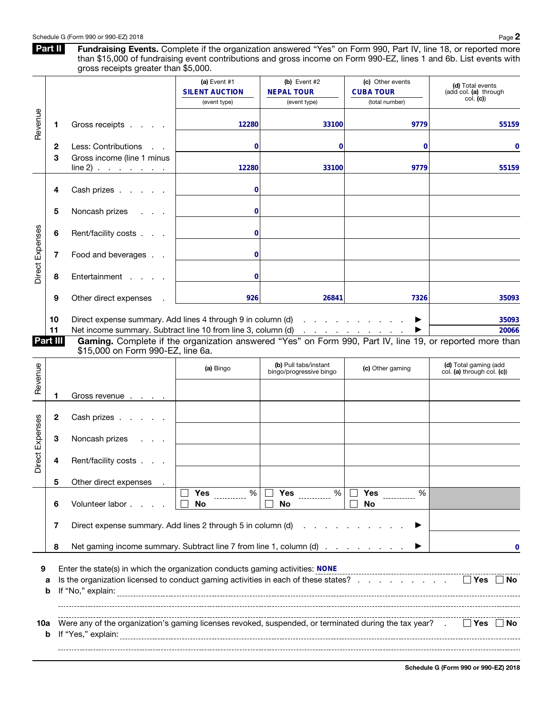Part II Fundraising Events. Complete if the organization answered "Yes" on Form 990, Part IV, line 18, or reported more than \$15,000 of fundraising event contributions and gross income on Form 990-EZ, lines 1 and 6b. List events with gross receipts greater than \$5,000.

|                 |                                                                                                                                                           |                                                                                                                                                                                                                  | (a) Event #1<br><b>SILENT AUCTION</b><br>(event type) | (b) Event $#2$<br><b>NEPAL TOUR</b><br>(event type) | (c) Other events<br><b>CUBA TOUR</b><br>(total number) | (d) Total events<br>(add col. (a) through<br>col. (c) |  |  |  |
|-----------------|-----------------------------------------------------------------------------------------------------------------------------------------------------------|------------------------------------------------------------------------------------------------------------------------------------------------------------------------------------------------------------------|-------------------------------------------------------|-----------------------------------------------------|--------------------------------------------------------|-------------------------------------------------------|--|--|--|
| Revenue         | п                                                                                                                                                         | Gross receipts                                                                                                                                                                                                   | 12280                                                 | 33100                                               | 9779                                                   | 55159                                                 |  |  |  |
|                 | 2                                                                                                                                                         | Less: Contributions                                                                                                                                                                                              | $\bf{0}$                                              | 0                                                   | 0                                                      | 0                                                     |  |  |  |
|                 | 3                                                                                                                                                         | Gross income (line 1 minus<br>$line 2)$                                                                                                                                                                          | 12280                                                 | 33100                                               | 9779                                                   | 55159                                                 |  |  |  |
| Direct Expenses | 4                                                                                                                                                         | Cash prizes                                                                                                                                                                                                      | 0                                                     |                                                     |                                                        |                                                       |  |  |  |
|                 | 5                                                                                                                                                         | Noncash prizes                                                                                                                                                                                                   | 0                                                     |                                                     |                                                        |                                                       |  |  |  |
|                 | 6                                                                                                                                                         | Rent/facility costs                                                                                                                                                                                              | 0                                                     |                                                     |                                                        |                                                       |  |  |  |
|                 | 7                                                                                                                                                         | Food and beverages                                                                                                                                                                                               | 0                                                     |                                                     |                                                        |                                                       |  |  |  |
|                 | 8                                                                                                                                                         | Entertainment                                                                                                                                                                                                    | 0                                                     |                                                     |                                                        |                                                       |  |  |  |
|                 | 9                                                                                                                                                         | Other direct expenses                                                                                                                                                                                            | 926                                                   | 26841                                               | 7326                                                   | 35093                                                 |  |  |  |
|                 | 10<br>11                                                                                                                                                  | Direct expense summary. Add lines 4 through 9 in column (d)<br>Net income summary. Subtract line 10 from line 3, column (d)                                                                                      |                                                       | and a strategic and a strategic                     |                                                        | 35093<br>20066                                        |  |  |  |
|                 | Part III<br>Gaming. Complete if the organization answered "Yes" on Form 990, Part IV, line 19, or reported more than<br>\$15,000 on Form 990-EZ, line 6a. |                                                                                                                                                                                                                  |                                                       |                                                     |                                                        |                                                       |  |  |  |
| Revenue         |                                                                                                                                                           |                                                                                                                                                                                                                  | (a) Bingo                                             | (b) Pull tabs/instant<br>bingo/progressive bingo    | (c) Other gaming                                       | (d) Total gaming (add<br>col. (a) through col. (c))   |  |  |  |
|                 | ı                                                                                                                                                         | Gross revenue                                                                                                                                                                                                    |                                                       |                                                     |                                                        |                                                       |  |  |  |
|                 | 2                                                                                                                                                         | Cash prizes                                                                                                                                                                                                      |                                                       |                                                     |                                                        |                                                       |  |  |  |
| Direct Expenses | З                                                                                                                                                         | Noncash prizes                                                                                                                                                                                                   |                                                       |                                                     |                                                        |                                                       |  |  |  |
|                 | 4                                                                                                                                                         | Rent/facility costs                                                                                                                                                                                              |                                                       |                                                     |                                                        |                                                       |  |  |  |
|                 | 5                                                                                                                                                         | Other direct expenses                                                                                                                                                                                            |                                                       |                                                     |                                                        |                                                       |  |  |  |
|                 | 6                                                                                                                                                         | Volunteer labor.                                                                                                                                                                                                 | <b>Yes</b><br>%<br>No                                 | <b>Yes</b><br>$\%$<br>No                            | <b>Yes</b><br>%<br>No                                  |                                                       |  |  |  |
|                 | Direct expense summary. Add lines 2 through 5 in column (d)<br>7<br>Net gaming income summary. Subtract line 7 from line 1, column (d)<br>8               |                                                                                                                                                                                                                  |                                                       |                                                     |                                                        |                                                       |  |  |  |
|                 |                                                                                                                                                           |                                                                                                                                                                                                                  |                                                       |                                                     |                                                        |                                                       |  |  |  |
| 9               | а<br>b                                                                                                                                                    | Enter the state(s) in which the organization conducts gaming activities: NONE<br>Is the organization licensed to conduct gaming activities in each of these states?<br>$\Box$ Yes $\Box$ No<br>If "No," explain: |                                                       |                                                     |                                                        |                                                       |  |  |  |
| 10a<br>b        |                                                                                                                                                           | Were any of the organization's gaming licenses revoked, suspended, or terminated during the tax year? .<br>$\Box$ Yes $\Box$ No<br>If "Yes," explain:                                                            |                                                       |                                                     |                                                        |                                                       |  |  |  |